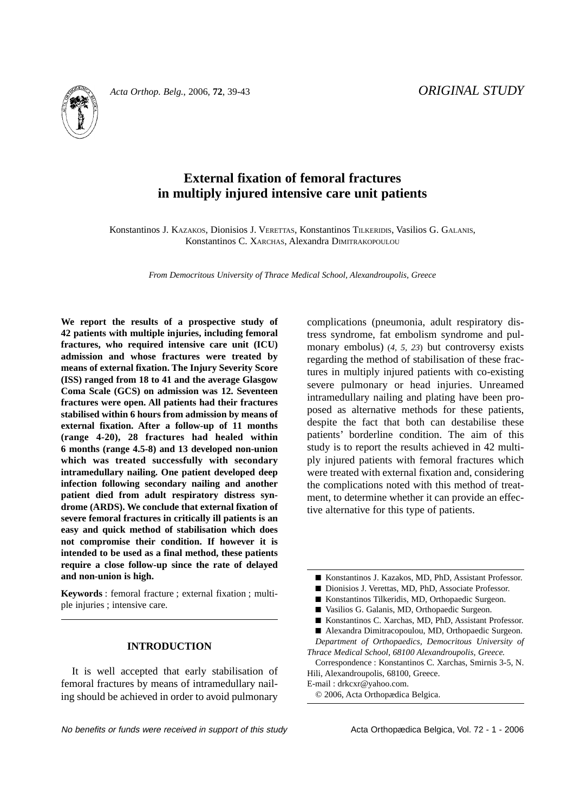

*Acta Orthop. Belg.*, 2006, **72**, 39-43 *ORIGINAL STUDY*

# **External fixation of femoral fractures in multiply injured intensive care unit patients**

Konstantinos J. KAZAKOS, Dionisios J. VERETTAS, Konstantinos TILKERIDIS, Vasilios G. GALANIS, Konstantinos C. XARCHAS, Alexandra DIMITRAKOPOULOU

*From Democritous University of Thrace Medical School, Alexandroupolis, Greece*

**We report the results of a prospective study of 42 patients with multiple injuries, including femoral fractures, who required intensive care unit (ICU) admission and whose fractures were treated by means of external fixation. The Injury Severity Score (ISS) ranged from 18 to 41 and the average Glasgow Coma Scale (GCS) on admission was 12. Seventeen fractures were open. All patients had their fractures stabilised within 6 hours from admission by means of external fixation. After a follow-up of 11 months (range 4-20), 28 fractures had healed within 6 months (range 4.5-8) and 13 developed non-union which was treated successfully with secondary intramedullary nailing. One patient developed deep infection following secondary nailing and another patient died from adult respiratory distress syndrome (ARDS). We conclude that external fixation of severe femoral fractures in critically ill patients is an easy and quick method of stabilisation which does not compromise their condition. If however it is intended to be used as a final method, these patients require a close follow-up since the rate of delayed and non-union is high.**

**Keywords** : femoral fracture ; external fixation ; multiple injuries ; intensive care.

# **INTRODUCTION**

It is well accepted that early stabilisation of femoral fractures by means of intramedullary nailing should be achieved in order to avoid pulmonary complications (pneumonia, adult respiratory distress syndrome, fat embolism syndrome and pulmonary embolus) (*4, 5, 23*) but controversy exists regarding the method of stabilisation of these fractures in multiply injured patients with co-existing severe pulmonary or head injuries. Unreamed intramedullary nailing and plating have been proposed as alternative methods for these patients, despite the fact that both can destabilise these patients' borderline condition. The aim of this study is to report the results achieved in 42 multiply injured patients with femoral fractures which were treated with external fixation and, considering the complications noted with this method of treatment, to determine whether it can provide an effective alternative for this type of patients.

- Konstantinos J. Kazakos, MD, PhD, Assistant Professor.
- Dionisios J. Verettas, MD, PhD, Associate Professor.
- Konstantinos Tilkeridis, MD, Orthopaedic Surgeon.
- Vasilios G. Galanis, MD, Orthopaedic Surgeon.
- Konstantinos C. Xarchas, MD, PhD, Assistant Professor.
- Alexandra Dimitracopoulou, MD, Orthopaedic Surgeon.

*Department of Orthopaedics, Democritous University of Thrace Medical School, 68100 Alexandroupolis, Greece.*

Correspondence : Konstantinos C. Xarchas, Smirnis 3-5, N. Hili, Alexandroupolis, 68100, Greece.

E-mail : drkcxr@yahoo.com.

© 2006, Acta Orthopædica Belgica.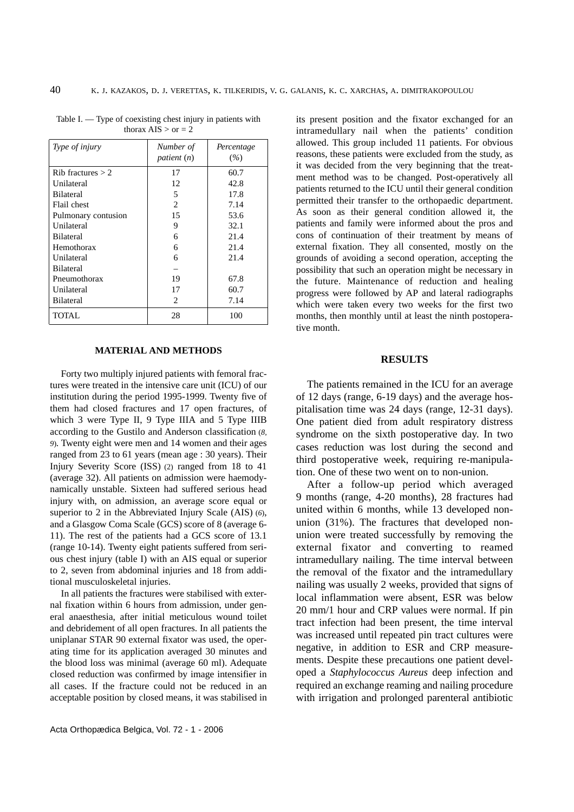| Type of injury        | Number of<br>patient (n)      | Percentage<br>$(\%)$ |
|-----------------------|-------------------------------|----------------------|
| $Rib$ fractures $> 2$ | 17                            | 60.7                 |
| Unilateral            | 12                            | 42.8                 |
| <b>Bilateral</b>      | 5                             | 17.8                 |
| Flail chest           | 2                             | 7.14                 |
| Pulmonary contusion   | 15                            | 53.6                 |
| Unilateral            | 9                             | 32.1                 |
| <b>Bilateral</b>      | 6                             | 21.4                 |
| Hemothorax            | 6                             | 21.4                 |
| Unilateral            | 6                             | 21.4                 |
| <b>Bilateral</b>      |                               |                      |
| Pneumothorax          | 19                            | 67.8                 |
| Unilateral            | 17                            | 60.7                 |
| <b>Bilateral</b>      | $\mathfrak{D}_{\mathfrak{p}}$ | 7.14                 |
| TOTAL                 | 28                            | 100                  |

Table I. — Type of coexisting chest injury in patients with thorax  $AIS > or = 2$ 

### **MATERIAL AND METHODS**

Forty two multiply injured patients with femoral fractures were treated in the intensive care unit (ICU) of our institution during the period 1995-1999. Twenty five of them had closed fractures and 17 open fractures, of which 3 were Type II, 9 Type IIIA and 5 Type IIIB according to the Gustilo and Anderson classification (*8, 9*)*.* Twenty eight were men and 14 women and their ages ranged from 23 to 61 years (mean age : 30 years). Their Injury Severity Score (ISS) (2) ranged from 18 to 41 (average 32). All patients on admission were haemodynamically unstable. Sixteen had suffered serious head injury with, on admission, an average score equal or superior to 2 in the Abbreviated Injury Scale (AIS) (*6*), and a Glasgow Coma Scale (GCS) score of 8 (average 6- 11). The rest of the patients had a GCS score of 13.1 (range 10-14). Twenty eight patients suffered from serious chest injury (table I) with an AIS equal or superior to 2, seven from abdominal injuries and 18 from additional musculoskeletal injuries.

In all patients the fractures were stabilised with external fixation within 6 hours from admission, under general anaesthesia, after initial meticulous wound toilet and debridement of all open fractures. In all patients the uniplanar STAR 90 external fixator was used, the operating time for its application averaged 30 minutes and the blood loss was minimal (average 60 ml). Adequate closed reduction was confirmed by image intensifier in all cases. If the fracture could not be reduced in an acceptable position by closed means, it was stabilised in

its present position and the fixator exchanged for an intramedullary nail when the patients' condition allowed. This group included 11 patients. For obvious reasons, these patients were excluded from the study, as it was decided from the very beginning that the treatment method was to be changed. Post-operatively all patients returned to the ICU until their general condition permitted their transfer to the orthopaedic department. As soon as their general condition allowed it, the patients and family were informed about the pros and cons of continuation of their treatment by means of external fixation. They all consented, mostly on the grounds of avoiding a second operation, accepting the possibility that such an operation might be necessary in the future. Maintenance of reduction and healing progress were followed by AP and lateral radiographs which were taken every two weeks for the first two months, then monthly until at least the ninth postoperative month.

#### **RESULTS**

The patients remained in the ICU for an average of 12 days (range, 6-19 days) and the average hospitalisation time was 24 days (range, 12-31 days). One patient died from adult respiratory distress syndrome on the sixth postoperative day. In two cases reduction was lost during the second and third postoperative week, requiring re-manipulation. One of these two went on to non-union.

After a follow-up period which averaged 9 months (range, 4-20 months), 28 fractures had united within 6 months, while 13 developed nonunion (31%). The fractures that developed nonunion were treated successfully by removing the external fixator and converting to reamed intramedullary nailing. The time interval between the removal of the fixator and the intramedullary nailing was usually 2 weeks, provided that signs of local inflammation were absent, ESR was below 20 mm/1 hour and CRP values were normal. If pin tract infection had been present, the time interval was increased until repeated pin tract cultures were negative, in addition to ESR and CRP measurements. Despite these precautions one patient developed a *Staphylococcus Aureus* deep infection and required an exchange reaming and nailing procedure with irrigation and prolonged parenteral antibiotic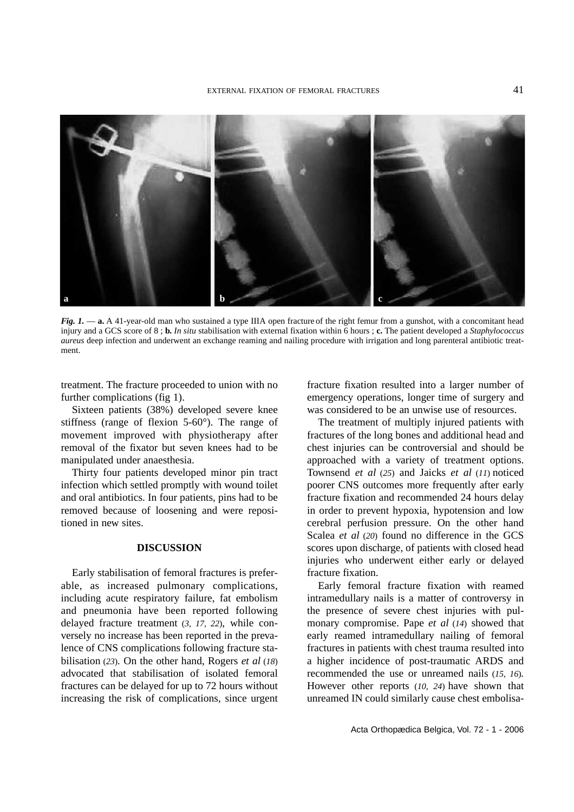

*Fig. 1.* — **a.** A 41-year-old man who sustained a type IIIA open fracture of the right femur from a gunshot, with a concomitant head injury and a GCS score of 8 ; **b.** *In situ* stabilisation with external fixation within 6 hours ; **c.** The patient developed a *Staphylococcus aureus* deep infection and underwent an exchange reaming and nailing procedure with irrigation and long parenteral antibiotic treatment.

treatment. The fracture proceeded to union with no further complications (fig 1).

Sixteen patients (38%) developed severe knee stiffness (range of flexion 5-60°). The range of movement improved with physiotherapy after removal of the fixator but seven knees had to be manipulated under anaesthesia.

Thirty four patients developed minor pin tract infection which settled promptly with wound toilet and oral antibiotics. In four patients, pins had to be removed because of loosening and were repositioned in new sites.

# **DISCUSSION**

Early stabilisation of femoral fractures is preferable, as increased pulmonary complications, including acute respiratory failure, fat embolism and pneumonia have been reported following delayed fracture treatment (*3, 17, 22*), while conversely no increase has been reported in the prevalence of CNS complications following fracture stabilisation (*23*)*.* On the other hand, Rogers *et al* (*18*) advocated that stabilisation of isolated femoral fractures can be delayed for up to 72 hours without increasing the risk of complications, since urgent fracture fixation resulted into a larger number of emergency operations, longer time of surgery and was considered to be an unwise use of resources.

The treatment of multiply injured patients with fractures of the long bones and additional head and chest injuries can be controversial and should be approached with a variety of treatment options. Townsend *et al* (*25*) and Jaicks *et al* (*11*) noticed poorer CNS outcomes more frequently after early fracture fixation and recommended 24 hours delay in order to prevent hypoxia, hypotension and low cerebral perfusion pressure. On the other hand Scalea *et al* (*20*) found no difference in the GCS scores upon discharge, of patients with closed head injuries who underwent either early or delayed fracture fixation.

Early femoral fracture fixation with reamed intramedullary nails is a matter of controversy in the presence of severe chest injuries with pulmonary compromise. Pape *et al* (*14*) showed that early reamed intramedullary nailing of femoral fractures in patients with chest trauma resulted into a higher incidence of post-traumatic ARDS and recommended the use or unreamed nails (*15, 16*)*.* However other reports (*10, 24*) have shown that unreamed IN could similarly cause chest embolisa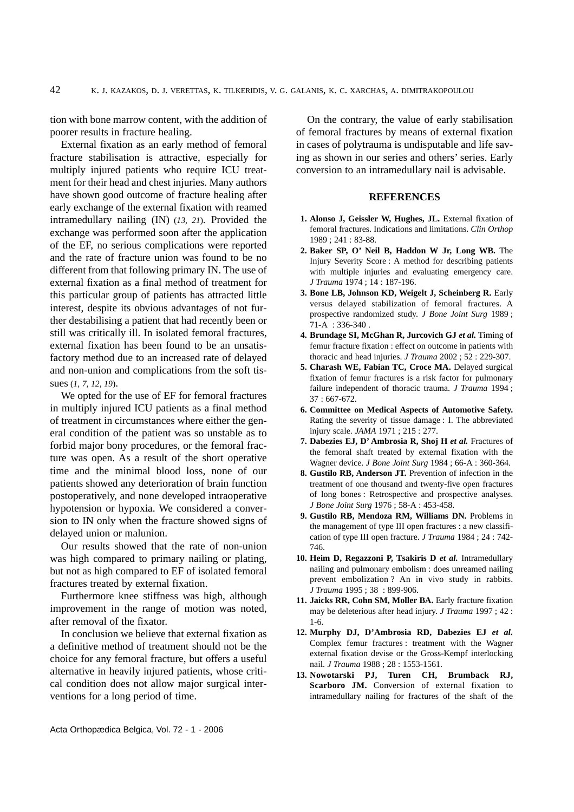tion with bone marrow content, with the addition of poorer results in fracture healing.

External fixation as an early method of femoral fracture stabilisation is attractive, especially for multiply injured patients who require ICU treatment for their head and chest injuries. Many authors have shown good outcome of fracture healing after early exchange of the external fixation with reamed intramedullary nailing (IN) (*13, 21*)*.* Provided the exchange was performed soon after the application of the EF, no serious complications were reported and the rate of fracture union was found to be no different from that following primary IN. The use of external fixation as a final method of treatment for this particular group of patients has attracted little interest, despite its obvious advantages of not further destabilising a patient that had recently been or still was critically ill. In isolated femoral fractures, external fixation has been found to be an unsatisfactory method due to an increased rate of delayed and non-union and complications from the soft tissues (*1, 7, 12, 19*).

We opted for the use of EF for femoral fractures in multiply injured ICU patients as a final method of treatment in circumstances where either the general condition of the patient was so unstable as to forbid major bony procedures, or the femoral fracture was open. As a result of the short operative time and the minimal blood loss, none of our patients showed any deterioration of brain function postoperatively, and none developed intraoperative hypotension or hypoxia. We considered a conversion to IN only when the fracture showed signs of delayed union or malunion.

Our results showed that the rate of non-union was high compared to primary nailing or plating, but not as high compared to EF of isolated femoral fractures treated by external fixation.

Furthermore knee stiffness was high, although improvement in the range of motion was noted, after removal of the fixator.

In conclusion we believe that external fixation as a definitive method of treatment should not be the choice for any femoral fracture, but offers a useful alternative in heavily injured patients, whose critical condition does not allow major surgical interventions for a long period of time.

On the contrary, the value of early stabilisation of femoral fractures by means of external fixation in cases of polytrauma is undisputable and life saving as shown in our series and others' series. Early conversion to an intramedullary nail is advisable.

## **REFERENCES**

- **1. Alonso J, Geissler W, Hughes, JL.** External fixation of femoral fractures. Indications and limitations. *Clin Orthop* 1989 ; 241 : 83-88.
- **2. Baker SP, O' Neil B, Haddon W Jr, Long WB.** The Injury Severity Score : A method for describing patients with multiple injuries and evaluating emergency care. *J Trauma* 1974 ; 14 : 187-196.
- **3. Bone LB, Johnson KD, Weigelt J, Scheinberg R.** Early versus delayed stabilization of femoral fractures. A prospective randomized study. *J Bone Joint Surg* 1989 ; 71-A : 336-340 .
- **4. Brundage SI, McGhan R, Jurcovich GJ** *et al.* Timing of femur fracture fixation : effect on outcome in patients with thoracic and head injuries. *J Trauma* 2002 ; 52 : 229-307.
- **5. Charash WE, Fabian TC, Croce MA.** Delayed surgical fixation of femur fractures is a risk factor for pulmonary failure independent of thoracic trauma. *J Trauma* 1994 ; 37 : 667-672.
- **6. Committee on Medical Aspects of Automotive Safety.** Rating the severity of tissue damage : I. The abbreviated injury scale. *JAMA* 1971 ; 215 : 277.
- **7. Dabezies EJ, D' Ambrosia R, Shoj H** *et al.* Fractures of the femoral shaft treated by external fixation with the Wagner device. *J Bone Joint Surg* 1984 ; 66-A : 360-364.
- **8. Gustilo RB, Anderson JT.** Prevention of infection in the treatment of one thousand and twenty-five open fractures of long bones : Retrospective and prospective analyses. *J Bone Joint Surg* 1976 ; 58-A : 453-458.
- **9. Gustilo RB, Mendoza RM, Williams DN.** Problems in the management of type III open fractures : a new classification of type III open fracture. *J Trauma* 1984 ; 24 : 742- 746.
- 10. Heim D, Regazzoni P, Tsakiris D et al. Intramedullary nailing and pulmonary embolism : does unreamed nailing prevent embolization ? An in vivo study in rabbits. *J Trauma* 1995 ; 38 : 899-906.
- **11. Jaicks RR, Cohn SM, Moller BA.** Early fracture fixation may be deleterious after head injury. *J Trauma* 1997 ; 42 : 1-6.
- **12. Murphy DJ, D'Ambrosia RD, Dabezies EJ** *et al.* Complex femur fractures : treatment with the Wagner external fixation devise or the Gross-Kempf interlocking nail. *J Trauma* 1988 ; 28 : 1553-1561.
- **13. Nowotarski PJ, Turen CH, Brumback RJ, Scarboro JM.** Conversion of external fixation to intramedullary nailing for fractures of the shaft of the